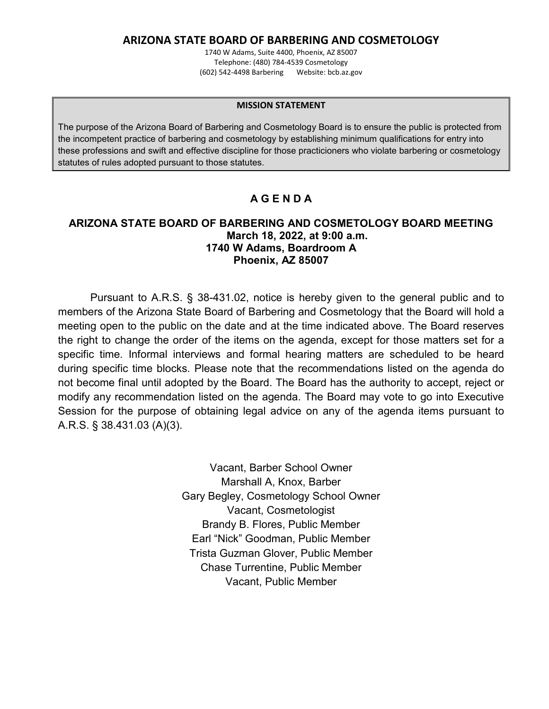### **ARIZONA STATE BOARD OF BARBERING AND COSMETOLOGY**

1740 W Adams, Suite 4400, Phoenix, AZ 85007 Telephone: (480) 784-4539 Cosmetology (602) 542-4498 Barbering Website: bcb.az.gov

#### **MISSION STATEMENT**

The purpose of the Arizona Board of Barbering and Cosmetology Board is to ensure the public is protected from the incompetent practice of barbering and cosmetology by establishing minimum qualifications for entry into these professions and swift and effective discipline for those practicioners who violate barbering or cosmetology statutes of rules adopted pursuant to those statutes.

## **A G E N D A**

#### **ARIZONA STATE BOARD OF BARBERING AND COSMETOLOGY BOARD MEETING March 18, 2022, at 9:00 a.m. 1740 W Adams, Boardroom A Phoenix, AZ 85007**

Pursuant to A.R.S. § 38-431.02, notice is hereby given to the general public and to members of the Arizona State Board of Barbering and Cosmetology that the Board will hold a meeting open to the public on the date and at the time indicated above. The Board reserves the right to change the order of the items on the agenda, except for those matters set for a specific time. Informal interviews and formal hearing matters are scheduled to be heard during specific time blocks. Please note that the recommendations listed on the agenda do not become final until adopted by the Board. The Board has the authority to accept, reject or modify any recommendation listed on the agenda. The Board may vote to go into Executive Session for the purpose of obtaining legal advice on any of the agenda items pursuant to A.R.S. § 38.431.03 (A)(3).

> Vacant, Barber School Owner Marshall A, Knox, Barber Gary Begley, Cosmetology School Owner Vacant, Cosmetologist Brandy B. Flores, Public Member Earl "Nick" Goodman, Public Member Trista Guzman Glover, Public Member Chase Turrentine, Public Member Vacant, Public Member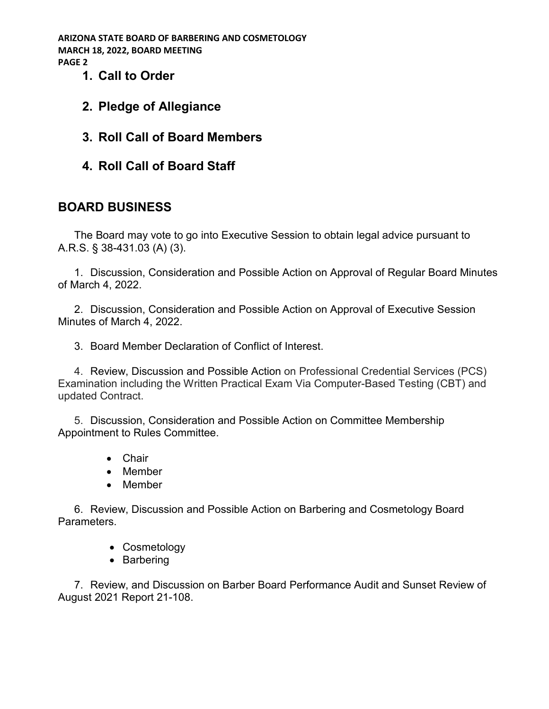**ARIZONA STATE BOARD OF BARBERING AND COSMETOLOGY MARCH 18, 2022, BOARD MEETING PAGE 2**

- **1. Call to Order**
- **2. Pledge of Allegiance**
- **3. Roll Call of Board Members**
- **4. Roll Call of Board Staff**

# **BOARD BUSINESS**

The Board may vote to go into Executive Session to obtain legal advice pursuant to A.R.S. § 38-431.03 (A) (3).

1. Discussion, Consideration and Possible Action on Approval of Regular Board Minutes of March 4, 2022.

2. Discussion, Consideration and Possible Action on Approval of Executive Session Minutes of March 4, 2022.

3. Board Member Declaration of Conflict of Interest.

4. Review, Discussion and Possible Action on Professional Credential Services (PCS) Examination including the Written Practical Exam Via Computer-Based Testing (CBT) and updated Contract.

5. Discussion, Consideration and Possible Action on Committee Membership Appointment to Rules Committee.

- Chair
- Member
- Member

6. Review, Discussion and Possible Action on Barbering and Cosmetology Board Parameters.

- Cosmetology
- Barbering

7. Review, and Discussion on Barber Board Performance Audit and Sunset Review of August 2021 Report 21-108.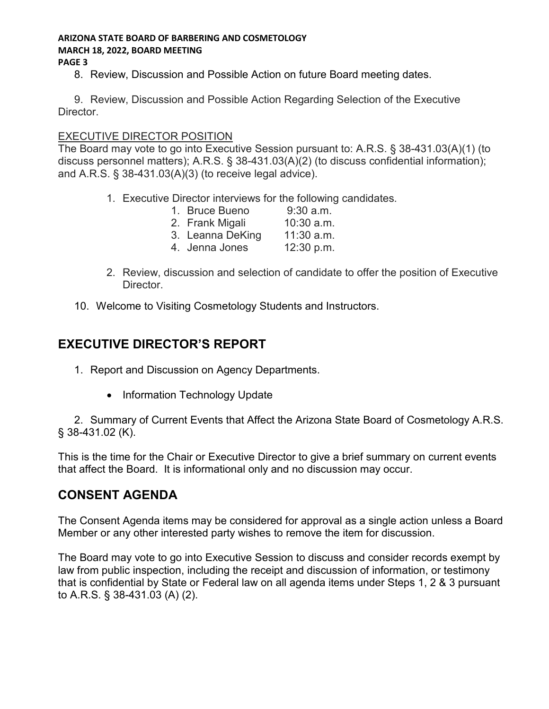#### **ARIZONA STATE BOARD OF BARBERING AND COSMETOLOGY MARCH 18, 2022, BOARD MEETING PAGE 3**

8. Review, Discussion and Possible Action on future Board meeting dates.

9. Review, Discussion and Possible Action Regarding Selection of the Executive Director.

### EXECUTIVE DIRECTOR POSITION

The Board may vote to go into Executive Session pursuant to: A.R.S. § 38-431.03(A)(1) (to discuss personnel matters); A.R.S. § 38-431.03(A)(2) (to discuss confidential information); and A.R.S. § 38-431.03(A)(3) (to receive legal advice).

- 1. Executive Director interviews for the following candidates.
	- 1. Bruce Bueno 9:30 a.m.
	- 2. Frank Migali 10:30 a.m.
	- 3. Leanna DeKing 11:30 a.m.
	- 4. Jenna Jones 12:30 p.m.
- 2. Review, discussion and selection of candidate to offer the position of Executive Director.
- 10. Welcome to Visiting Cosmetology Students and Instructors.

# **EXECUTIVE DIRECTOR'S REPORT**

- 1. Report and Discussion on Agency Departments.
	- Information Technology Update

2. Summary of Current Events that Affect the Arizona State Board of Cosmetology A.R.S. § 38-431.02 (K).

This is the time for the Chair or Executive Director to give a brief summary on current events that affect the Board. It is informational only and no discussion may occur.

# **CONSENT AGENDA**

The Consent Agenda items may be considered for approval as a single action unless a Board Member or any other interested party wishes to remove the item for discussion.

The Board may vote to go into Executive Session to discuss and consider records exempt by law from public inspection, including the receipt and discussion of information, or testimony that is confidential by State or Federal law on all agenda items under Steps 1, 2 & 3 pursuant to A.R.S. § 38-431.03 (A) (2).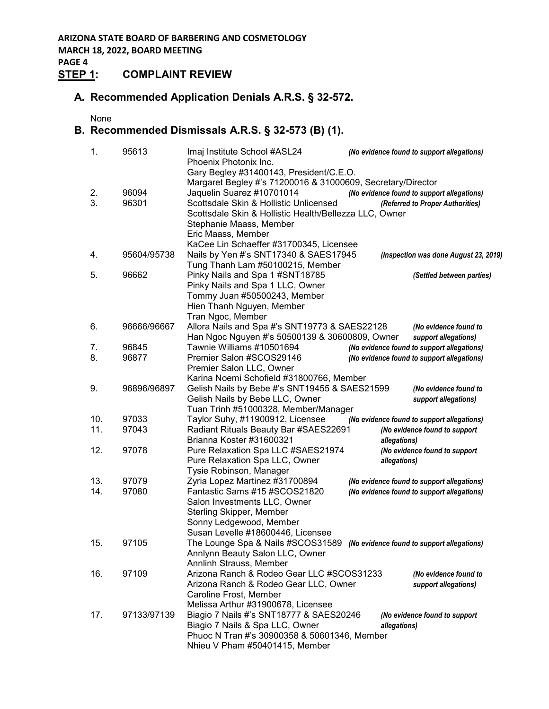**MARCH 18, 2022, BOARD MEETING**

#### **PAGE 4 STEP 1: COMPLAINT REVIEW**

### **A. Recommended Application Denials A.R.S. § 32-572.**

None

## **B. Recommended Dismissals A.R.S. § 32-573 (B) (1).**

| 1.  | 95613       | Imaj Institute School #ASL24<br>(No evidence found to support allegations)<br>Phoenix Photonix Inc. |
|-----|-------------|-----------------------------------------------------------------------------------------------------|
|     |             | Gary Begley #31400143, President/C.E.O.                                                             |
|     |             | Margaret Begley #'s 71200016 & 31000609, Secretary/Director                                         |
| 2.  | 96094       | Jaquelin Suarez #10701014<br>(No evidence found to support allegations)                             |
| 3.  | 96301       | Scottsdale Skin & Hollistic Unlicensed<br>(Referred to Proper Authorities)                          |
|     |             | Scottsdale Skin & Hollistic Health/Bellezza LLC, Owner                                              |
|     |             | Stephanie Maass, Member                                                                             |
|     |             | Eric Maass, Member                                                                                  |
|     |             | KaCee Lin Schaeffer #31700345, Licensee                                                             |
| 4.  | 95604/95738 | Nails by Yen #'s SNT17340 & SAES17945<br>(Inspection was done August 23, 2019)                      |
|     |             | Tung Thanh Lam #50100215, Member                                                                    |
| 5.  | 96662       | Pinky Nails and Spa 1 #SNT18785<br>(Settled between parties)                                        |
|     |             | Pinky Nails and Spa 1 LLC, Owner                                                                    |
|     |             | Tommy Juan #50500243, Member                                                                        |
|     |             | Hien Thanh Nguyen, Member                                                                           |
|     |             | Tran Ngoc, Member                                                                                   |
| 6.  | 96666/96667 | Allora Nails and Spa #'s SNT19773 & SAES22128<br>(No evidence found to                              |
|     |             | Han Ngoc Nguyen #'s 50500139 & 30600809, Owner<br>support allegations)                              |
| 7.  | 96845       | Tawnie Williams #10501694<br>(No evidence found to support allegations)                             |
| 8.  | 96877       | Premier Salon #SCOS29146<br>(No evidence found to support allegations)                              |
|     |             | Premier Salon LLC, Owner                                                                            |
|     |             | Karina Noemi Schofield #31800766, Member                                                            |
| 9.  | 96896/96897 | Gelish Nails by Bebe #'s SNT19455 & SAES21599<br>(No evidence found to                              |
|     |             | Gelish Nails by Bebe LLC, Owner<br>support allegations)                                             |
|     |             | Tuan Trinh #51000328, Member/Manager                                                                |
| 10. | 97033       | Taylor Suhy, #11900912, Licensee<br>(No evidence found to support allegations)                      |
| 11. | 97043       | Radiant Rituals Beauty Bar #SAES22691<br>(No evidence found to support                              |
|     |             | Brianna Koster #31600321<br>allegations)                                                            |
| 12. | 97078       | Pure Relaxation Spa LLC #SAES21974<br>(No evidence found to support                                 |
|     |             | Pure Relaxation Spa LLC, Owner<br>allegations)                                                      |
|     |             | Tysie Robinson, Manager                                                                             |
| 13. | 97079       | Zyria Lopez Martinez #31700894<br>(No evidence found to support allegations)                        |
| 14. | 97080       | Fantastic Sams #15 #SCOS21820<br>(No evidence found to support allegations)                         |
|     |             | Salon Investments LLC, Owner                                                                        |
|     |             | <b>Sterling Skipper, Member</b>                                                                     |
|     |             | Sonny Ledgewood, Member                                                                             |
|     |             | Susan Levelle #18600446, Licensee                                                                   |
| 15. | 97105       | The Lounge Spa & Nails #SCOS31589<br>(No evidence found to support allegations)                     |
|     |             | Annlynn Beauty Salon LLC, Owner                                                                     |
|     |             | Annlinh Strauss, Member                                                                             |
| 16. | 97109       | Arizona Ranch & Rodeo Gear LLC #SCOS31233<br>(No evidence found to                                  |
|     |             | Arizona Ranch & Rodeo Gear LLC, Owner<br>support allegations)                                       |
|     |             | Caroline Frost, Member                                                                              |
|     |             | Melissa Arthur #31900678, Licensee                                                                  |
| 17. | 97133/97139 | Biagio 7 Nails #'s SNT18777 & SAES20246<br>(No evidence found to support                            |
|     |             | Biagio 7 Nails & Spa LLC, Owner<br>allegations)                                                     |
|     |             | Phuoc N Tran #'s 30900358 & 50601346, Member                                                        |
|     |             | Nhieu V Pham #50401415, Member                                                                      |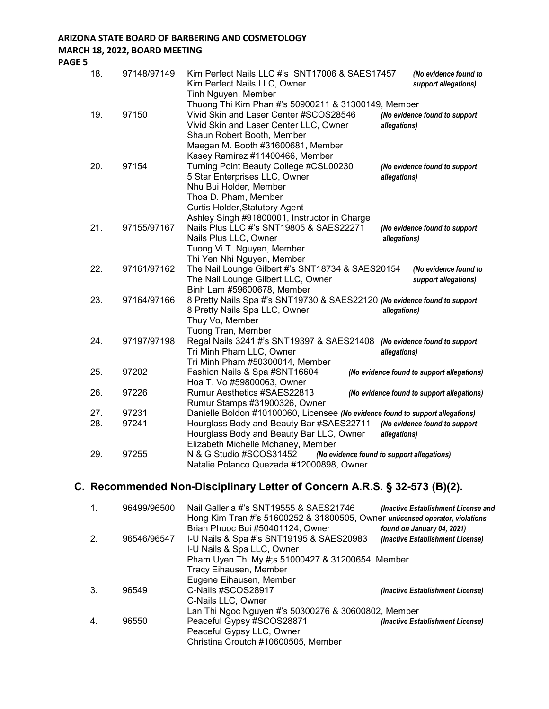#### **ARIZONA STATE BOARD OF BARBERING AND COSMETOLOGY**

#### **MARCH 18, 2022, BOARD MEETING**

**PAGE 5**

| 18. | 97148/97149 | Kim Perfect Nails LLC #'s SNT17006 & SAES17457<br>(No evidence found to<br>Kim Perfect Nails LLC, Owner<br>support allegations)<br>Tinh Nguyen, Member                                                                                             |  |
|-----|-------------|----------------------------------------------------------------------------------------------------------------------------------------------------------------------------------------------------------------------------------------------------|--|
| 19. | 97150       | Thuong Thi Kim Phan #'s 50900211 & 31300149, Member<br>Vivid Skin and Laser Center #SCOS28546<br>(No evidence found to support<br>Vivid Skin and Laser Center LLC, Owner<br>allegations)<br>Shaun Robert Booth, Member                             |  |
| 20. | 97154       | Maegan M. Booth #31600681, Member<br>Kasey Ramirez #11400466, Member<br>Turning Point Beauty College #CSL00230<br>(No evidence found to support<br>5 Star Enterprises LLC, Owner<br>allegations)<br>Nhu Bui Holder, Member<br>Thoa D. Pham, Member |  |
| 21. | 97155/97167 | <b>Curtis Holder, Statutory Agent</b><br>Ashley Singh #91800001, Instructor in Charge<br>Nails Plus LLC #'s SNT19805 & SAES22271<br>(No evidence found to support<br>Nails Plus LLC, Owner<br>allegations)<br>Tuong Vi T. Nguyen, Member           |  |
| 22. | 97161/97162 | Thi Yen Nhi Nguyen, Member<br>The Nail Lounge Gilbert #'s SNT18734 & SAES20154<br>(No evidence found to<br>The Nail Lounge Gilbert LLC, Owner<br>support allegations)<br>Binh Lam #59600678, Member                                                |  |
| 23. | 97164/97166 | 8 Pretty Nails Spa #'s SNT19730 & SAES22120 (No evidence found to support<br>8 Pretty Nails Spa LLC, Owner<br>allegations)<br>Thuy Vo, Member                                                                                                      |  |
| 24. | 97197/97198 | Tuong Tran, Member<br>Regal Nails 3241 #'s SNT19397 & SAES21408 (No evidence found to support<br>Tri Minh Pham LLC, Owner<br>allegations)<br>Tri Minh Pham #50300014, Member                                                                       |  |
| 25. | 97202       | Fashion Nails & Spa #SNT16604<br>(No evidence found to support allegations)<br>Hoa T. Vo #59800063, Owner                                                                                                                                          |  |
| 26. | 97226       | Rumur Aesthetics #SAES22813<br>(No evidence found to support allegations)                                                                                                                                                                          |  |
| 27. | 97231       | Rumur Stamps #31900326, Owner<br>Danielle Boldon #10100060, Licensee (No evidence found to support allegations)                                                                                                                                    |  |
| 28. | 97241       | Hourglass Body and Beauty Bar #SAES22711<br>(No evidence found to support<br>Hourglass Body and Beauty Bar LLC, Owner<br>allegations)<br>Elizabeth Michelle Mchaney, Member                                                                        |  |
| 29. | 97255       | N & G Studio #SCOS31452<br>(No evidence found to support allegations)<br>Natalie Polanco Quezada #12000898, Owner                                                                                                                                  |  |

# **C. Recommended Non-Disciplinary Letter of Concern A.R.S. § 32-573 (B)(2).**

|                    | 96499/96500 | Nail Galleria #'s SNT19555 & SAES21746<br>(Inactive Establishment License and<br>Hong Kim Tran #'s 51600252 & 31800505, Owner unlicensed operator, violations |                                  |  |
|--------------------|-------------|---------------------------------------------------------------------------------------------------------------------------------------------------------------|----------------------------------|--|
|                    |             | Brian Phuoc Bui #50401124, Owner                                                                                                                              | found on January 04, 2021)       |  |
| 2.                 | 96546/96547 | I-U Nails & Spa #'s SNT19195 & SAES20983<br>(Inactive Establishment License)<br>I-U Nails & Spa LLC, Owner                                                    |                                  |  |
|                    |             | Pham Uyen Thi My #;s 51000427 & 31200654, Member                                                                                                              |                                  |  |
|                    |             | Tracy Eihausen, Member                                                                                                                                        |                                  |  |
|                    |             | Eugene Eihausen, Member                                                                                                                                       |                                  |  |
| 3.                 | 96549       | C-Nails #SCOS28917                                                                                                                                            | (Inactive Establishment License) |  |
| C-Nails LLC, Owner |             |                                                                                                                                                               |                                  |  |
|                    |             | Lan Thi Ngoc Nguyen #'s 50300276 & 30600802, Member                                                                                                           |                                  |  |
| 4.                 | 96550       | Peaceful Gypsy #SCOS28871                                                                                                                                     | (Inactive Establishment License) |  |
|                    |             | Peaceful Gypsy LLC, Owner                                                                                                                                     |                                  |  |
|                    |             | Christina Croutch #10600505, Member                                                                                                                           |                                  |  |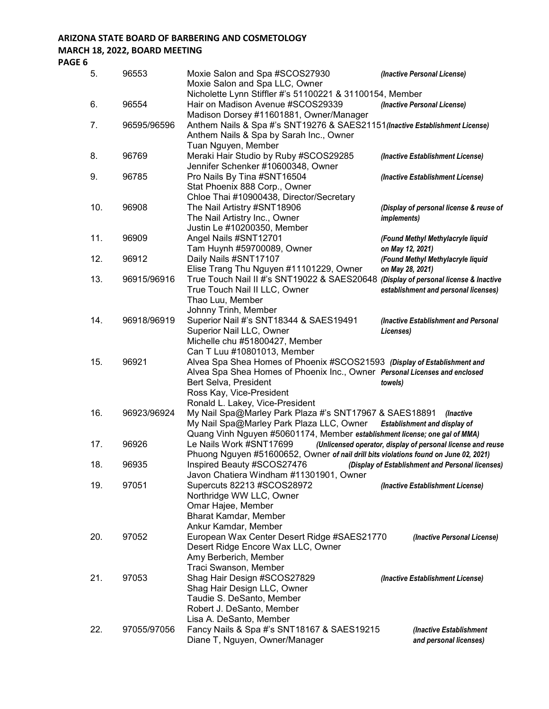### **ARIZONA STATE BOARD OF BARBERING AND COSMETOLOGY MARCH 18, 2022, BOARD MEETING**

**PAGE 6**

| 5.  | 96553       | Moxie Salon and Spa #SCOS27930<br>Moxie Salon and Spa LLC, Owner                                                                                                                                                                           | (Inactive Personal License)                                   |
|-----|-------------|--------------------------------------------------------------------------------------------------------------------------------------------------------------------------------------------------------------------------------------------|---------------------------------------------------------------|
| 6.  | 96554       | Nicholette Lynn Stiffler #'s 51100221 & 31100154, Member<br>Hair on Madison Avenue #SCOS29339                                                                                                                                              | (Inactive Personal License)                                   |
| 7.  | 96595/96596 | Madison Dorsey #11601881, Owner/Manager<br>Anthem Nails & Spa #'s SNT19276 & SAES21151 (Inactive Establishment License)<br>Anthem Nails & Spa by Sarah Inc., Owner<br>Tuan Nguyen, Member                                                  |                                                               |
| 8.  | 96769       | Meraki Hair Studio by Ruby #SCOS29285<br>Jennifer Schenker #10600348, Owner                                                                                                                                                                | (Inactive Establishment License)                              |
| 9.  | 96785       | Pro Nails By Tina #SNT16504<br>Stat Phoenix 888 Corp., Owner<br>Chloe Thai #10900438, Director/Secretary                                                                                                                                   | (Inactive Establishment License)                              |
| 10. | 96908       | The Nail Artistry #SNT18906<br>The Nail Artistry Inc., Owner<br>Justin Le #10200350, Member                                                                                                                                                | (Display of personal license & reuse of<br><i>implements)</i> |
| 11. | 96909       | Angel Nails #SNT12701                                                                                                                                                                                                                      | (Found Methyl Methylacryle liquid                             |
| 12. | 96912       | Tam Huynh #59700089, Owner<br>Daily Nails #SNT17107                                                                                                                                                                                        | on May 12, 2021)<br>(Found Methyl Methylacryle liquid         |
| 13. | 96915/96916 | Elise Trang Thu Nguyen #11101229, Owner<br>True Touch Nail II #'s SNT19022 & SAES20648 (Display of personal license & Inactive<br>True Touch Nail II LLC, Owner<br>Thao Luu, Member                                                        | on May 28, 2021)<br>establishment and personal licenses)      |
| 14. | 96918/96919 | Johnny Trinh, Member<br>Superior Nail #'s SNT18344 & SAES19491<br>Superior Nail LLC, Owner<br>Michelle chu #51800427, Member                                                                                                               | (Inactive Establishment and Personal<br>Licenses)             |
| 15. | 96921       | Can T Luu #10801013, Member<br>Alvea Spa Shea Homes of Phoenix #SCOS21593 (Display of Establishment and<br>Alvea Spa Shea Homes of Phoenix Inc., Owner Personal Licenses and enclosed<br>Bert Selva, President<br>Ross Kay, Vice-President | towels)                                                       |
| 16. | 96923/96924 | Ronald L. Lakey, Vice-President<br>My Nail Spa@Marley Park Plaza #'s SNT17967 & SAES18891<br>My Nail Spa@Marley Park Plaza LLC, Owner                                                                                                      | (Inactive<br><b>Establishment and display of</b>              |
| 17. | 96926       | Quang Vinh Nguyen #50601174, Member establishment license; one gal of MMA)<br>Le Nails Work #SNT17699<br>Phuong Nguyen #51600652, Owner of nail drill bits violations found on June 02, 2021)                                              | (Unlicensed operator, display of personal license and reuse   |
| 18. | 96935       | Inspired Beauty #SCOS27476 (Display of Establishment and Personal licenses)<br>Javon Chatiera Windham #11301901, Owner                                                                                                                     |                                                               |
| 19. | 97051       | Supercuts 82213 #SCOS28972<br>Northridge WW LLC, Owner<br>Omar Hajee, Member                                                                                                                                                               | (Inactive Establishment License)                              |
| 20. | 97052       | Bharat Kamdar, Member<br>Ankur Kamdar, Member<br>European Wax Center Desert Ridge #SAES21770<br>Desert Ridge Encore Wax LLC, Owner<br>Amy Berberich, Member                                                                                | (Inactive Personal License)                                   |
| 21. | 97053       | Traci Swanson, Member<br>Shag Hair Design #SCOS27829<br>Shag Hair Design LLC, Owner<br>Taudie S. DeSanto, Member<br>Robert J. DeSanto, Member                                                                                              | (Inactive Establishment License)                              |
| 22. | 97055/97056 | Lisa A. DeSanto, Member<br>Fancy Nails & Spa #'s SNT18167 & SAES19215<br>Diane T, Nguyen, Owner/Manager                                                                                                                                    | (Inactive Establishment<br>and personal licenses)             |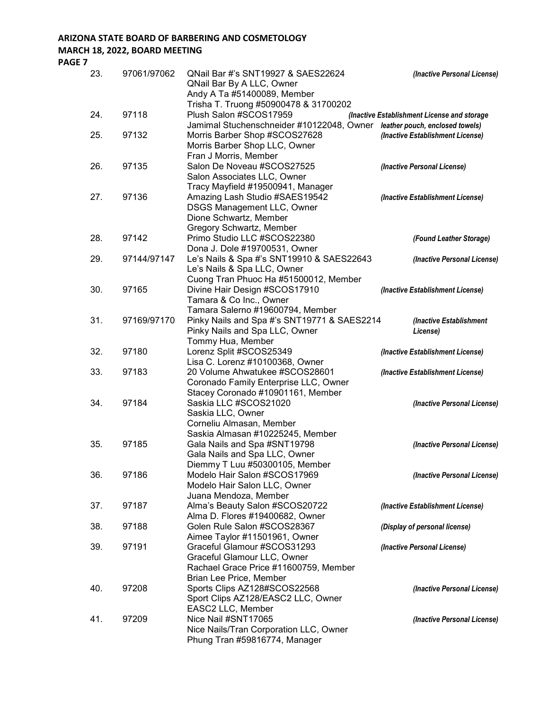## **ARIZONA STATE BOARD OF BARBERING AND COSMETOLOGY**

### **MARCH 18, 2022, BOARD MEETING**

**PAGE 7**

| 23. | 97061/97062 | QNail Bar #'s SNT19927 & SAES22624<br>QNail Bar By A LLC, Owner<br>Andy A Ta #51400089, Member             | (Inactive Personal License)                 |
|-----|-------------|------------------------------------------------------------------------------------------------------------|---------------------------------------------|
|     |             | Trisha T. Truong #50900478 & 31700202                                                                      |                                             |
| 24. | 97118       | Plush Salon #SCOS17959                                                                                     | (Inactive Establishment License and storage |
| 25. | 97132       | Jamimal Stuchenschneider #10122048, Owner leather pouch, enclosed towels)<br>Morris Barber Shop #SCOS27628 | (Inactive Establishment License)            |
|     |             | Morris Barber Shop LLC, Owner                                                                              |                                             |
|     |             | Fran J Morris, Member                                                                                      |                                             |
| 26. | 97135       | Salon De Noveau #SCOS27525                                                                                 | (Inactive Personal License)                 |
|     |             | Salon Associates LLC, Owner                                                                                |                                             |
|     |             | Tracy Mayfield #19500941, Manager                                                                          |                                             |
| 27. | 97136       | Amazing Lash Studio #SAES19542                                                                             | (Inactive Establishment License)            |
|     |             | <b>DSGS Management LLC, Owner</b>                                                                          |                                             |
|     |             | Dione Schwartz, Member                                                                                     |                                             |
|     |             | Gregory Schwartz, Member                                                                                   |                                             |
| 28. | 97142       | Primo Studio LLC #SCOS22380                                                                                | (Found Leather Storage)                     |
|     |             | Dona J. Dole #19700531, Owner                                                                              |                                             |
| 29. | 97144/97147 | Le's Nails & Spa #'s SNT19910 & SAES22643                                                                  | (Inactive Personal License)                 |
|     |             | Le's Nails & Spa LLC, Owner                                                                                |                                             |
|     |             | Cuong Tran Phuoc Ha #51500012, Member                                                                      |                                             |
| 30. | 97165       | Divine Hair Design #SCOS17910                                                                              | (Inactive Establishment License)            |
|     |             | Tamara & Co Inc., Owner<br>Tamara Salerno #19600794, Member                                                |                                             |
| 31. | 97169/97170 | Pinky Nails and Spa #'s SNT19771 & SAES2214                                                                | (Inactive Establishment                     |
|     |             | Pinky Nails and Spa LLC, Owner                                                                             | License)                                    |
|     |             | Tommy Hua, Member                                                                                          |                                             |
| 32. | 97180       | Lorenz Split #SCOS25349                                                                                    | (Inactive Establishment License)            |
|     |             | Lisa C. Lorenz #10100368, Owner                                                                            |                                             |
| 33. | 97183       | 20 Volume Ahwatukee #SCOS28601                                                                             | (Inactive Establishment License)            |
|     |             | Coronado Family Enterprise LLC, Owner                                                                      |                                             |
|     |             | Stacey Coronado #10901161, Member                                                                          |                                             |
| 34. | 97184       | Saskia LLC #SCOS21020                                                                                      | (Inactive Personal License)                 |
|     |             | Saskia LLC, Owner                                                                                          |                                             |
|     |             | Corneliu Almasan, Member                                                                                   |                                             |
|     |             | Saskia Almasan #10225245, Member                                                                           |                                             |
| 35. | 97185       | Gala Nails and Spa #SNT19798                                                                               | (Inactive Personal License)                 |
|     |             | Gala Nails and Spa LLC, Owner                                                                              |                                             |
|     |             | Diemmy T Luu #50300105, Member                                                                             |                                             |
| 36. | 97186       | Modelo Hair Salon #SCOS17969<br>Modelo Hair Salon LLC, Owner                                               | (Inactive Personal License)                 |
|     |             | Juana Mendoza, Member                                                                                      |                                             |
| 37. | 97187       | Alma's Beauty Salon #SCOS20722                                                                             | (Inactive Establishment License)            |
|     |             | Alma D. Flores #19400682, Owner                                                                            |                                             |
| 38. | 97188       | Golen Rule Salon #SCOS28367                                                                                | (Display of personal license)               |
|     |             | Aimee Taylor #11501961, Owner                                                                              |                                             |
| 39. | 97191       | Graceful Glamour #SCOS31293                                                                                | (Inactive Personal License)                 |
|     |             | Graceful Glamour LLC, Owner                                                                                |                                             |
|     |             | Rachael Grace Price #11600759, Member                                                                      |                                             |
|     |             | Brian Lee Price, Member                                                                                    |                                             |
| 40. | 97208       | Sports Clips AZ128#SCOS22568                                                                               | (Inactive Personal License)                 |
|     |             | Sport Clips AZ128/EASC2 LLC, Owner                                                                         |                                             |
|     |             | EASC2 LLC, Member                                                                                          |                                             |
| 41. | 97209       | Nice Nail #SNT17065                                                                                        | (Inactive Personal License)                 |
|     |             | Nice Nails/Tran Corporation LLC, Owner                                                                     |                                             |
|     |             | Phung Tran #59816774, Manager                                                                              |                                             |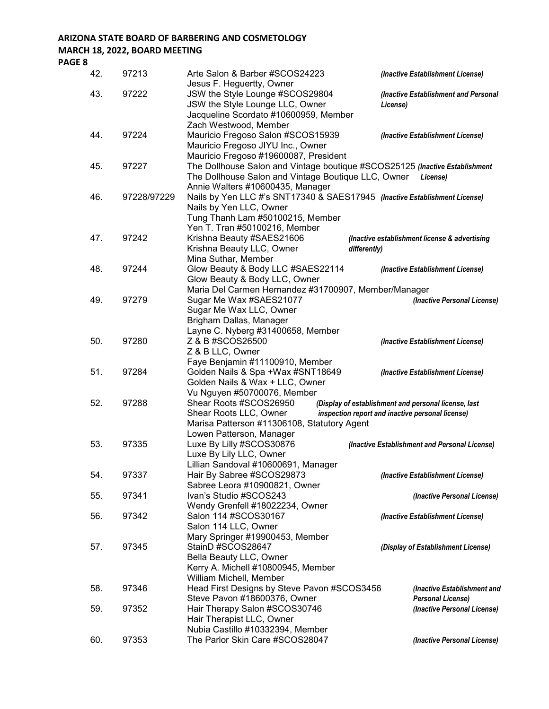### **ARIZONA STATE BOARD OF BARBERING AND COSMETOLOGY MARCH 18, 2022, BOARD MEETING**

**PAGE 8**

| 42. | 97213       | Arte Salon & Barber #SCOS24223                                              | (Inactive Establishment License)                     |
|-----|-------------|-----------------------------------------------------------------------------|------------------------------------------------------|
| 43. | 97222       | Jesus F. Heguertty, Owner<br>JSW the Style Lounge #SCOS29804                | (Inactive Establishment and Personal                 |
|     |             | JSW the Style Lounge LLC, Owner                                             | License)                                             |
|     |             | Jacqueline Scordato #10600959, Member                                       |                                                      |
|     |             | Zach Westwood, Member                                                       |                                                      |
| 44. | 97224       | Mauricio Fregoso Salon #SCOS15939                                           | (Inactive Establishment License)                     |
|     |             | Mauricio Fregoso JIYU Inc., Owner<br>Mauricio Fregoso #19600087, President  |                                                      |
| 45. | 97227       | The Dollhouse Salon and Vintage boutique #SCOS25125 (Inactive Establishment |                                                      |
|     |             | The Dollhouse Salon and Vintage Boutique LLC, Owner                         | License)                                             |
|     |             | Annie Walters #10600435, Manager                                            |                                                      |
| 46. | 97228/97229 | Nails by Yen LLC #'s SNT17340 & SAES17945 (Inactive Establishment License)  |                                                      |
|     |             | Nails by Yen LLC, Owner                                                     |                                                      |
|     |             | Tung Thanh Lam #50100215, Member                                            |                                                      |
|     |             | Yen T. Tran #50100216, Member                                               |                                                      |
| 47. | 97242       | Krishna Beauty #SAES21606<br>Krishna Beauty LLC, Owner                      | (Inactive establishment license & advertising        |
|     |             | differently)<br>Mina Suthar, Member                                         |                                                      |
| 48. | 97244       | Glow Beauty & Body LLC #SAES22114                                           | (Inactive Establishment License)                     |
|     |             | Glow Beauty & Body LLC, Owner                                               |                                                      |
|     |             | Maria Del Carmen Hernandez #31700907, Member/Manager                        |                                                      |
| 49. | 97279       | Sugar Me Wax #SAES21077                                                     | (Inactive Personal License)                          |
|     |             | Sugar Me Wax LLC, Owner                                                     |                                                      |
|     |             | Brigham Dallas, Manager                                                     |                                                      |
| 50. | 97280       | Layne C. Nyberg #31400658, Member<br>Z & B #SCOS26500                       |                                                      |
|     |             | Z & B LLC, Owner                                                            | (Inactive Establishment License)                     |
|     |             | Faye Benjamin #11100910, Member                                             |                                                      |
| 51. | 97284       | Golden Nails & Spa +Wax #SNT18649                                           | (Inactive Establishment License)                     |
|     |             | Golden Nails & Wax + LLC, Owner                                             |                                                      |
|     |             | Vu Nguyen #50700076, Member                                                 |                                                      |
| 52. | 97288       | Shear Roots #SCOS26950                                                      | (Display of establishment and personal license, last |
|     |             | Shear Roots LLC, Owner                                                      | inspection report and inactive personal license)     |
|     |             | Marisa Patterson #11306108, Statutory Agent<br>Lowen Patterson, Manager     |                                                      |
| 53. | 97335       | Luxe By Lilly #SCOS30876                                                    | (Inactive Establishment and Personal License)        |
|     |             | Luxe By Lily LLC, Owner                                                     |                                                      |
|     |             | Lillian Sandoval #10600691, Manager                                         |                                                      |
| 54. | 97337       | Hair By Sabree #SCOS29873                                                   | (Inactive Establishment License)                     |
|     |             | Sabree Leora #10900821, Owner                                               |                                                      |
| 55. | 97341       | Ivan's Studio #SCOS243                                                      | (Inactive Personal License)                          |
|     |             | Wendy Grenfell #18022234, Owner                                             |                                                      |
| 56. | 97342       | Salon 114 #SCOS30167<br>Salon 114 LLC, Owner                                | (Inactive Establishment License)                     |
|     |             | Mary Springer #19900453, Member                                             |                                                      |
| 57. | 97345       | StainD #SCOS28647                                                           | (Display of Establishment License)                   |
|     |             | Bella Beauty LLC, Owner                                                     |                                                      |
|     |             | Kerry A. Michell #10800945, Member                                          |                                                      |
|     |             | William Michell, Member                                                     |                                                      |
| 58. | 97346       | Head First Designs by Steve Pavon #SCOS3456                                 | (Inactive Establishment and                          |
|     |             | Steve Pavon #18600376, Owner                                                | <b>Personal License)</b>                             |
| 59. | 97352       | Hair Therapy Salon #SCOS30746<br>Hair Therapist LLC, Owner                  | (Inactive Personal License)                          |
|     |             | Nubia Castillo #10332394, Member                                            |                                                      |
| 60. | 97353       | The Parlor Skin Care #SCOS28047                                             | (Inactive Personal License)                          |
|     |             |                                                                             |                                                      |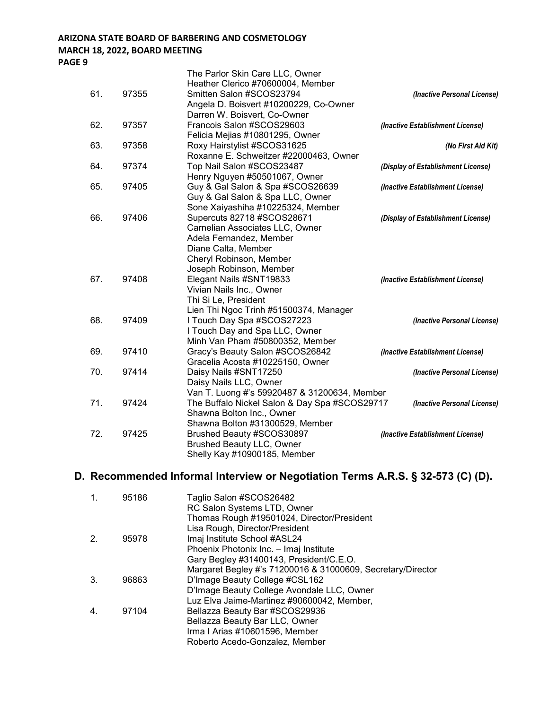#### **ARIZONA STATE BOARD OF BARBERING AND COSMETOLOGY MARCH 18, 2022, BOARD MEETING PAGE 9**

|     |       | The Parlor Skin Care LLC, Owner               |                                    |
|-----|-------|-----------------------------------------------|------------------------------------|
|     |       | Heather Clerico #70600004, Member             |                                    |
| 61. | 97355 | Smitten Salon #SCOS23794                      | (Inactive Personal License)        |
|     |       | Angela D. Boisvert #10200229, Co-Owner        |                                    |
|     |       | Darren W. Boisvert, Co-Owner                  |                                    |
| 62. | 97357 | Francois Salon #SCOS29603                     | (Inactive Establishment License)   |
|     |       | Felicia Mejias #10801295, Owner               |                                    |
| 63. | 97358 | Roxy Hairstylist #SCOS31625                   | (No First Aid Kit)                 |
|     |       | Roxanne E. Schweitzer #22000463, Owner        |                                    |
| 64. | 97374 | Top Nail Salon #SCOS23487                     | (Display of Establishment License) |
|     |       | Henry Nguyen #50501067, Owner                 |                                    |
| 65. | 97405 | Guy & Gal Salon & Spa #SCOS26639              | (Inactive Establishment License)   |
|     |       | Guy & Gal Salon & Spa LLC, Owner              |                                    |
|     |       | Sone Xaiyashiha #10225324, Member             |                                    |
| 66. | 97406 | Supercuts 82718 #SCOS28671                    | (Display of Establishment License) |
|     |       | Carnelian Associates LLC, Owner               |                                    |
|     |       | Adela Fernandez, Member                       |                                    |
|     |       | Diane Calta, Member                           |                                    |
|     |       | Cheryl Robinson, Member                       |                                    |
|     |       | Joseph Robinson, Member                       |                                    |
| 67. | 97408 | Elegant Nails #SNT19833                       | (Inactive Establishment License)   |
|     |       | Vivian Nails Inc., Owner                      |                                    |
|     |       | Thi Si Le, President                          |                                    |
|     |       | Lien Thi Ngoc Trinh #51500374, Manager        |                                    |
| 68. | 97409 | I Touch Day Spa #SCOS27223                    | (Inactive Personal License)        |
|     |       | I Touch Day and Spa LLC, Owner                |                                    |
|     |       | Minh Van Pham #50800352, Member               |                                    |
| 69. | 97410 | Gracy's Beauty Salon #SCOS26842               | (Inactive Establishment License)   |
|     |       | Gracelia Acosta #10225150, Owner              |                                    |
| 70. | 97414 | Daisy Nails #SNT17250                         | (Inactive Personal License)        |
|     |       | Daisy Nails LLC, Owner                        |                                    |
|     |       | Van T. Luong #'s 59920487 & 31200634, Member  |                                    |
| 71. | 97424 | The Buffalo Nickel Salon & Day Spa #SCOS29717 | (Inactive Personal License)        |
|     |       | Shawna Bolton Inc., Owner                     |                                    |
|     |       | Shawna Bolton #31300529, Member               |                                    |
| 72. | 97425 | Brushed Beauty #SCOS30897                     | (Inactive Establishment License)   |
|     |       | <b>Brushed Beauty LLC, Owner</b>              |                                    |

### **D. Recommended Informal Interview or Negotiation Terms A.R.S. § 32-573 (C) (D).**

| 95186 | Taglio Salon #SCOS26482<br>RC Salon Systems LTD, Owner         |
|-------|----------------------------------------------------------------|
|       | Thomas Rough #19501024, Director/President                     |
| 95978 | Lisa Rough, Director/President<br>Imaj Institute School #ASL24 |
|       | Phoenix Photonix Inc. - Imaj Institute                         |
|       | Gary Begley #31400143, President/C.E.O.                        |
|       | Margaret Begley #'s 71200016 & 31000609, Secretary/Director    |
| 96863 | D'Image Beauty College #CSL162                                 |
|       | D'Image Beauty College Avondale LLC, Owner                     |
|       | Luz Elva Jaime-Martinez #90600042, Member,                     |
| 97104 | Bellazza Beauty Bar #SCOS29936                                 |
|       | Bellazza Beauty Bar LLC, Owner                                 |
|       | Irma I Arias #10601596, Member                                 |
|       | Roberto Acedo-Gonzalez, Member                                 |
|       |                                                                |

Shelly Kay #10900185, Member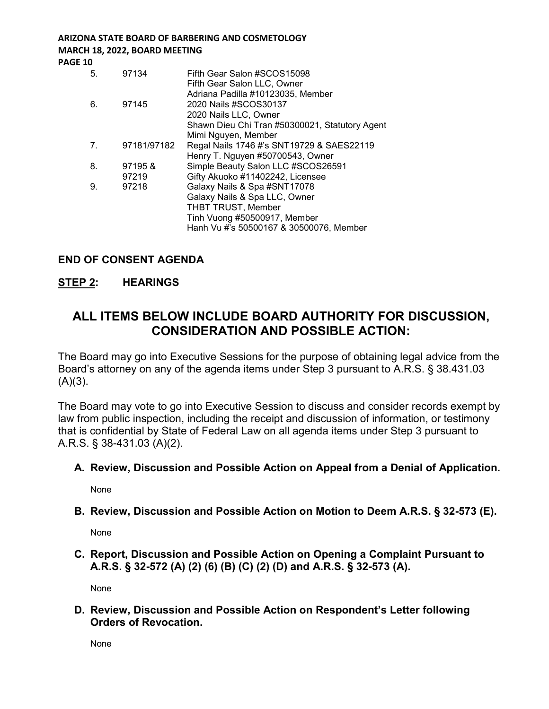## **ARIZONA STATE BOARD OF BARBERING AND COSMETOLOGY MARCH 18, 2022, BOARD MEETING**

**PAGE 10**

| 5. | 97134       | Fifth Gear Salon #SCOS15098<br>Fifth Gear Salon LLC, Owner                                                                            |
|----|-------------|---------------------------------------------------------------------------------------------------------------------------------------|
| 6. | 97145       | Adriana Padilla #10123035, Member<br>2020 Nails #SCOS30137<br>2020 Nails LLC, Owner<br>Shawn Dieu Chi Tran #50300021, Statutory Agent |
|    |             | Mimi Nguyen, Member                                                                                                                   |
| 7. | 97181/97182 | Regal Nails 1746 #'s SNT19729 & SAES22119                                                                                             |
|    |             | Henry T. Nguyen #50700543, Owner                                                                                                      |
| 8. | 97195&      | Simple Beauty Salon LLC #SCOS26591                                                                                                    |
|    | 97219       | Gifty Akuoko #11402242, Licensee                                                                                                      |
| 9. | 97218       | Galaxy Nails & Spa #SNT17078                                                                                                          |
|    |             | Galaxy Nails & Spa LLC, Owner                                                                                                         |
|    |             | <b>THBT TRUST, Member</b>                                                                                                             |
|    |             | Tinh Vuong #50500917, Member                                                                                                          |
|    |             | Hanh Vu #'s 50500167 & 30500076, Member                                                                                               |
|    |             |                                                                                                                                       |

### **END OF CONSENT AGENDA**

### **STEP 2: HEARINGS**

# **ALL ITEMS BELOW INCLUDE BOARD AUTHORITY FOR DISCUSSION, CONSIDERATION AND POSSIBLE ACTION:**

The Board may go into Executive Sessions for the purpose of obtaining legal advice from the Board's attorney on any of the agenda items under Step 3 pursuant to A.R.S. § 38.431.03  $(A)(3)$ .

The Board may vote to go into Executive Session to discuss and consider records exempt by law from public inspection, including the receipt and discussion of information, or testimony that is confidential by State of Federal Law on all agenda items under Step 3 pursuant to A.R.S. § 38-431.03 (A)(2).

#### **A. Review, Discussion and Possible Action on Appeal from a Denial of Application.**

None

#### **B. Review, Discussion and Possible Action on Motion to Deem A.R.S. § 32-573 (E).**

None

**C. Report, Discussion and Possible Action on Opening a Complaint Pursuant to A.R.S. § 32-572 (A) (2) (6) (B) (C) (2) (D) and A.R.S. § 32-573 (A).**

None

**D. Review, Discussion and Possible Action on Respondent's Letter following Orders of Revocation.**

None